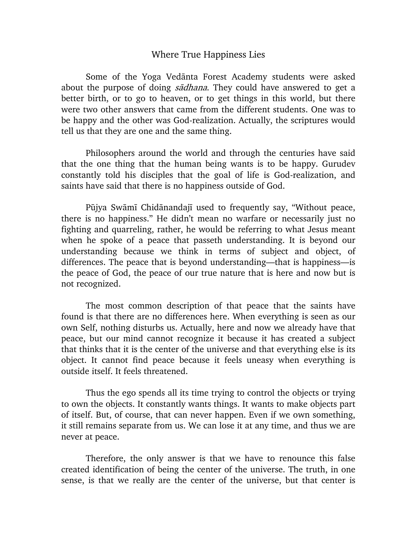## Where True Happiness Lies

Some of the Yoga Vedānta Forest Academy students were asked about the purpose of doing sadhana. They could have answered to get a better birth, or to go to heaven, or to get things in this world, but there were two other answers that came from the different students. One was to be happy and the other was God-realization. Actually, the scriptures would tell us that they are one and the same thing.

Philosophers around the world and through the centuries have said that the one thing that the human being wants is to be happy. Gurudev constantly told his disciples that the goal of life is God-realization, and saints have said that there is no happiness outside of God.

Pūjya Swāmī Chidānandajī used to frequently say, "Without peace, there is no happiness." He didn't mean no warfare or necessarily just no fighting and quarreling, rather, he would be referring to what Jesus meant when he spoke of a peace that passeth understanding. It is beyond our understanding because we think in terms of subject and object, of differences. The peace that is beyond understanding—that is happiness—is the peace of God, the peace of our true nature that is here and now but is not recognized.

The most common description of that peace that the saints have found is that there are no differences here. When everything is seen as our own Self, nothing disturbs us. Actually, here and now we already have that peace, but our mind cannot recognize it because it has created a subject that thinks that it is the center of the universe and that everything else is its object. It cannot find peace because it feels uneasy when everything is outside itself. It feels threatened.

Thus the ego spends all its time trying to control the objects or trying to own the objects. It constantly wants things. It wants to make objects part of itself. But, of course, that can never happen. Even if we own something, it still remains separate from us. We can lose it at any time, and thus we are never at peace.

Therefore, the only answer is that we have to renounce this false created identification of being the center of the universe. The truth, in one sense, is that we really are the center of the universe, but that center is